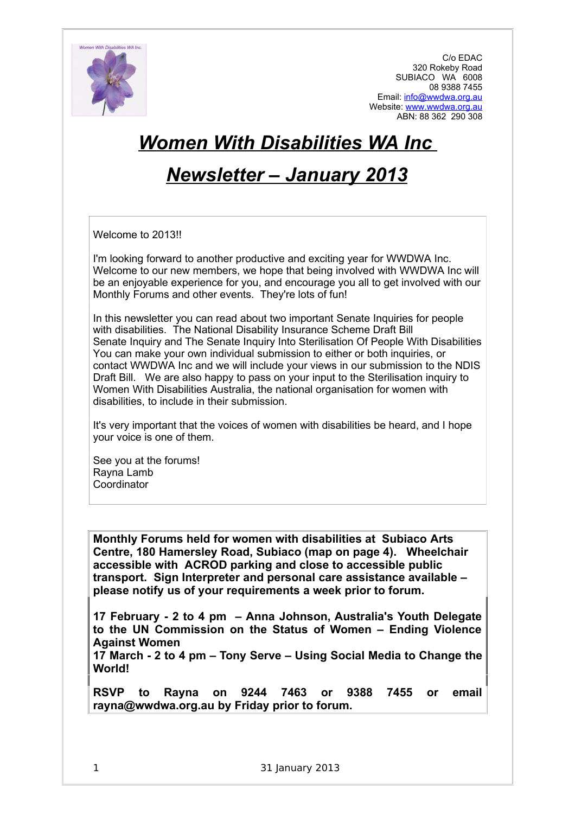

C/o EDAC 320 Rokeby Road SUBIACO WA 6008 08 9388 7455 Email: [info@wwdwa.org.au](mailto:info@wwdwa.org.au) Website: [www.wwdwa.org.au](http://www.wwdwa.org.au/) ABN: 88 362 290 308

# *Women With Disabilities WA Inc*

# *Newsletter – January 2013*

Welcome to 2013!!

I'm looking forward to another productive and exciting year for WWDWA Inc. Welcome to our new members, we hope that being involved with WWDWA Inc will be an enjoyable experience for you, and encourage you all to get involved with our Monthly Forums and other events. They're lots of fun!

In this newsletter you can read about two important Senate Inquiries for people with disabilities. The National Disability Insurance Scheme Draft Bill Senate Inquiry and The Senate Inquiry Into Sterilisation Of People With Disabilities You can make your own individual submission to either or both inquiries, or contact WWDWA Inc and we will include your views in our submission to the NDIS Draft Bill. We are also happy to pass on your input to the Sterilisation inquiry to Women With Disabilities Australia, the national organisation for women with disabilities, to include in their submission.

It's very important that the voices of women with disabilities be heard, and I hope your voice is one of them.

See you at the forums! Rayna Lamb Coordinator

**Monthly Forums held for women with disabilities at Subiaco Arts Centre, 180 Hamersley Road, Subiaco (map on page 4). Wheelchair accessible with ACROD parking and close to accessible public transport. Sign Interpreter and personal care assistance available – please notify us of your requirements a week prior to forum.**

**17 February - 2 to 4 pm – Anna Johnson, Australia's Youth Delegate to the UN Commission on the Status of Women – Ending Violence Against Women**

**17 March - 2 to 4 pm – Tony Serve – Using Social Media to Change the World!**

**RSVP to Rayna on 9244 7463 or 9388 7455 or email rayna@wwdwa.org.au by Friday prior to forum.**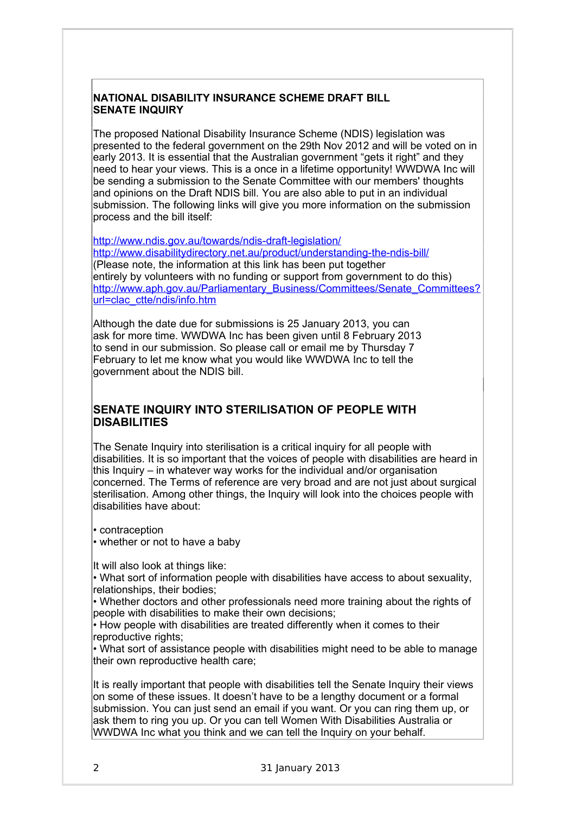#### **NATIONAL DISABILITY INSURANCE SCHEME DRAFT BILL SENATE INQUIRY**

The proposed National Disability Insurance Scheme (NDIS) legislation was presented to the federal government on the 29th Nov 2012 and will be voted on in early 2013. It is essential that the Australian government "gets it right" and they need to hear your views. This is a once in a lifetime opportunity! WWDWA Inc will be sending a submission to the Senate Committee with our members' thoughts and opinions on the Draft NDIS bill. You are also able to put in an individual submission. The following links will give you more information on the submission process and the bill itself:

<http://www.ndis.gov.au/towards/ndis-draft-legislation/> <http://www.disabilitydirectory.net.au/product/understanding-the-ndis-bill/> (Please note, the information at this link has been put together entirely by volunteers with no funding or support from government to do this) [http://www.aph.gov.au/Parliamentary\\_Business/Committees/Senate\\_Committees?](http://www.aph.gov.au/Parliamentary_Business/Committees/Senate_Committees?url=clac_ctte/ndis/info.htm) [url=clac\\_ctte/ndis/info.htm](http://www.aph.gov.au/Parliamentary_Business/Committees/Senate_Committees?url=clac_ctte/ndis/info.htm)

Although the date due for submissions is 25 January 2013, you can ask for more time. WWDWA Inc has been given until 8 February 2013 to send in our submission. So please call or email me by Thursday 7 February to let me know what you would like WWDWA Inc to tell the government about the NDIS bill.

## **SENATE INQUIRY INTO STERILISATION OF PEOPLE WITH DISABILITIES**

The Senate Inquiry into sterilisation is a critical inquiry for all people with disabilities. It is so important that the voices of people with disabilities are heard in this Inquiry – in whatever way works for the individual and/or organisation concerned. The Terms of reference are very broad and are not just about surgical sterilisation. Among other things, the Inquiry will look into the choices people with disabilities have about:

• contraception

• whether or not to have a baby

It will also look at things like:

• What sort of information people with disabilities have access to about sexuality, relationships, their bodies;

• Whether doctors and other professionals need more training about the rights of people with disabilities to make their own decisions;

• How people with disabilities are treated differently when it comes to their reproductive rights;

• What sort of assistance people with disabilities might need to be able to manage their own reproductive health care;

It is really important that people with disabilities tell the Senate Inquiry their views on some of these issues. It doesn't have to be a lengthy document or a formal submission. You can just send an email if you want. Or you can ring them up, or ask them to ring you up. Or you can tell Women With Disabilities Australia or WWDWA Inc what you think and we can tell the Inquiry on your behalf.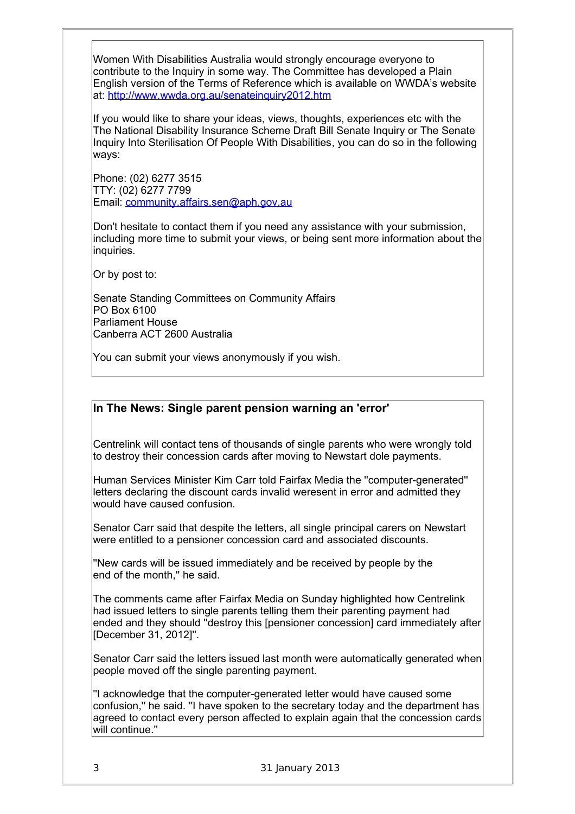Women With Disabilities Australia would strongly encourage everyone to contribute to the Inquiry in some way. The Committee has developed a Plain English version of the Terms of Reference which is available on WWDA's website at: [http://www.wwda.org.au/senateinquiry2012.htm](http://www.facebook.com/l.php?u=http%3A%2F%2Fwww.wwda.org.au%2Fsenateinquiry2012.htm&h=AAQEQIKVv&s=1)

If you would like to share your ideas, views, thoughts, experiences etc with the The National Disability Insurance Scheme Draft Bill Senate Inquiry or The Senate Inquiry Into Sterilisation Of People With Disabilities, you can do so in the following ways:

Phone: (02) 6277 3515 TTY: (02) 6277 7799 Email: [community.affairs.sen@aph.gov.au](mailto:community.affairs.sen@aph.gov.au)

Don't hesitate to contact them if you need any assistance with your submission, including more time to submit your views, or being sent more information about the inquiries.

Or by post to:

Senate Standing Committees on Community Affairs PO Box 6100 Parliament House Canberra ACT 2600 Australia

You can submit your views anonymously if you wish.

#### **In The News: Single parent pension warning an 'error'**

Centrelink will contact tens of thousands of single parents who were wrongly told to destroy their concession cards after moving to Newstart dole payments.

Human Services Minister Kim Carr told Fairfax Media the ''computer-generated'' letters declaring the discount cards invalid weresent in error and admitted they would have caused confusion.

Senator Carr said that despite the letters, all single principal carers on Newstart were entitled to a pensioner concession card and associated discounts.

''New cards will be issued immediately and be received by people by the end of the month,'' he said.

The comments came after Fairfax Media on Sunday highlighted how Centrelink had issued letters to single parents telling them their parenting payment had ended and they should ''destroy this [pensioner concession] card immediately after [December 31, 2012]''.

Senator Carr said the letters issued last month were automatically generated when people moved off the single parenting payment.

''I acknowledge that the computer-generated letter would have caused some confusion,'' he said. ''I have spoken to the secretary today and the department has agreed to contact every person affected to explain again that the concession cards will continue.''